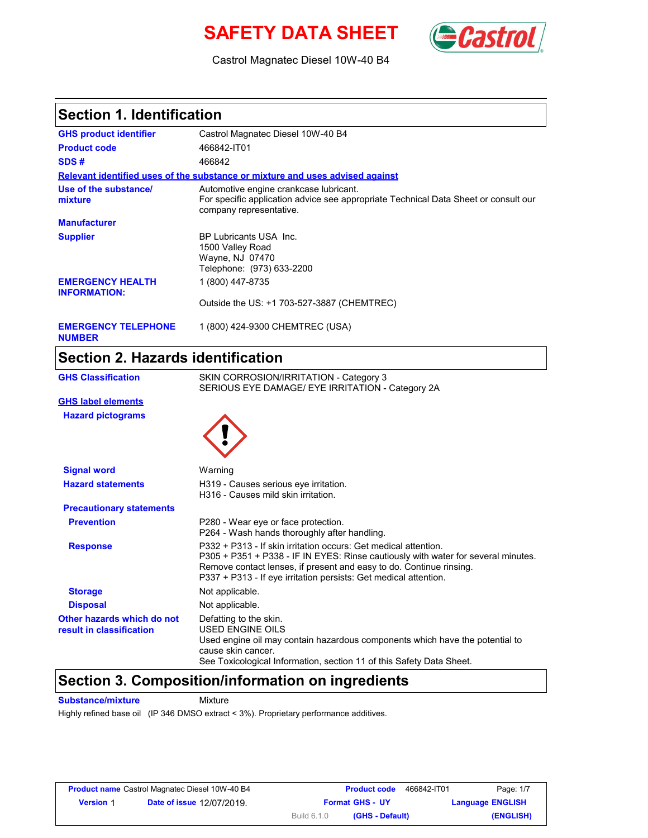# **SAFETY DATA SHEET** *Castro*



Castrol Magnatec Diesel 10W-40 B4

### **Section 1. Identification**

| <b>GHS product identifier</b>                  | Castrol Magnatec Diesel 10W-40 B4                                                                                                                        |
|------------------------------------------------|----------------------------------------------------------------------------------------------------------------------------------------------------------|
| <b>Product code</b>                            | 466842-IT01                                                                                                                                              |
| SDS#                                           | 466842                                                                                                                                                   |
|                                                | Relevant identified uses of the substance or mixture and uses advised against                                                                            |
| Use of the substance/<br>mixture               | Automotive engine crankcase lubricant.<br>For specific application advice see appropriate Technical Data Sheet or consult our<br>company representative. |
| <b>Manufacturer</b>                            |                                                                                                                                                          |
| <b>Supplier</b>                                | BP Lubricants USA Inc.<br>1500 Valley Road<br>Wayne, NJ 07470<br>Telephone: (973) 633-2200                                                               |
| <b>EMERGENCY HEALTH</b><br><b>INFORMATION:</b> | 1 (800) 447-8735<br>Outside the US: +1 703-527-3887 (CHEMTREC)                                                                                           |
| <b>EMERGENCY TELEPHONE</b>                     | 1 (800) 424-9300 CHEMTREC (USA)                                                                                                                          |

**NUMBER**

# **Section 2. Hazards identification**

| <b>GHS Classification</b>                              | SKIN CORROSION/IRRITATION - Category 3<br>SERIOUS EYE DAMAGE/ EYE IRRITATION - Category 2A                                                                                                                                                                                                      |
|--------------------------------------------------------|-------------------------------------------------------------------------------------------------------------------------------------------------------------------------------------------------------------------------------------------------------------------------------------------------|
| <b>GHS label elements</b>                              |                                                                                                                                                                                                                                                                                                 |
| <b>Hazard pictograms</b>                               |                                                                                                                                                                                                                                                                                                 |
| <b>Signal word</b>                                     | Warning                                                                                                                                                                                                                                                                                         |
| <b>Hazard statements</b>                               | H319 - Causes serious eye irritation.<br>H316 - Causes mild skin irritation.                                                                                                                                                                                                                    |
| <b>Precautionary statements</b>                        |                                                                                                                                                                                                                                                                                                 |
| <b>Prevention</b>                                      | P280 - Wear eye or face protection.<br>P264 - Wash hands thoroughly after handling.                                                                                                                                                                                                             |
| <b>Response</b>                                        | P332 + P313 - If skin irritation occurs: Get medical attention.<br>P305 + P351 + P338 - IF IN EYES: Rinse cautiously with water for several minutes.<br>Remove contact lenses, if present and easy to do. Continue rinsing.<br>P337 + P313 - If eye irritation persists: Get medical attention. |
| <b>Storage</b>                                         | Not applicable.                                                                                                                                                                                                                                                                                 |
| <b>Disposal</b>                                        | Not applicable.                                                                                                                                                                                                                                                                                 |
| Other hazards which do not<br>result in classification | Defatting to the skin.<br>USED ENGINE OILS<br>Used engine oil may contain hazardous components which have the potential to<br>cause skin cancer.<br>See Toxicological Information, section 11 of this Safety Data Sheet.                                                                        |

### **Section 3. Composition/information on ingredients**

**Substance/mixture** Mixture

Highly refined base oil (IP 346 DMSO extract < 3%). Proprietary performance additives.

|                  | <b>Product name</b> Castrol Magnatec Diesel 10W-40 B4 |                    | <b>Product code</b>    | 466842-IT01 | Page: 1/7               |
|------------------|-------------------------------------------------------|--------------------|------------------------|-------------|-------------------------|
| <b>Version 1</b> | <b>Date of issue 12/07/2019.</b>                      |                    | <b>Format GHS - UY</b> |             | <b>Language ENGLISH</b> |
|                  |                                                       | <b>Build 6.1.0</b> | (GHS - Default)        |             | (ENGLISH)               |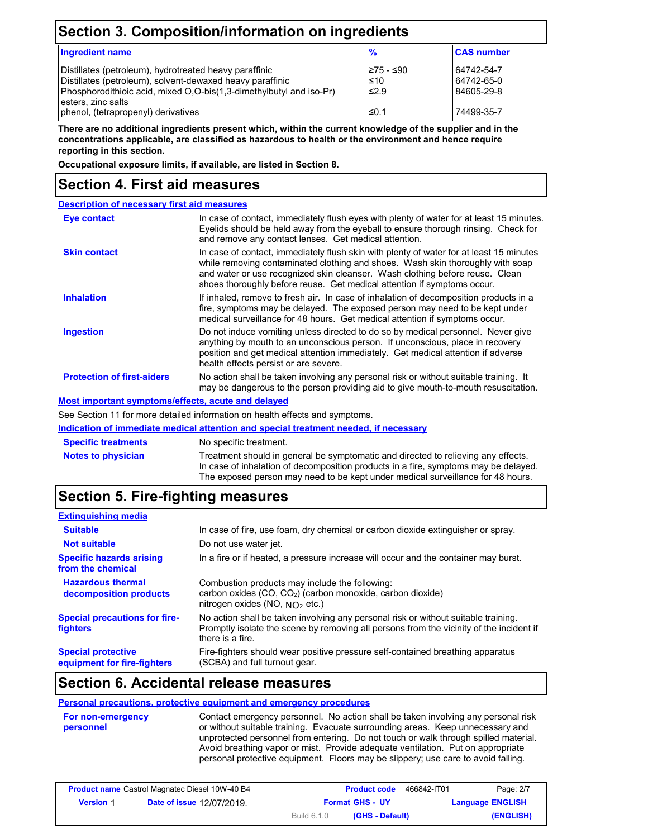## **Section 3. Composition/information on ingredients**

| <b>Ingredient name</b>                                                                                                                                                                                             | $\frac{9}{6}$                  | <b>CAS number</b>                      |
|--------------------------------------------------------------------------------------------------------------------------------------------------------------------------------------------------------------------|--------------------------------|----------------------------------------|
| Distillates (petroleum), hydrotreated heavy paraffinic<br>Distillates (petroleum), solvent-dewaxed heavy paraffinic<br>Phosphorodithioic acid, mixed O.O-bis(1,3-dimethylbutyl and iso-Pr)<br>l esters. zinc salts | 275 - ≤90<br>≤10<br>$\leq 2.9$ | 64742-54-7<br>64742-65-0<br>84605-29-8 |
| phenol, (tetrapropenyl) derivatives                                                                                                                                                                                | ≤0.1                           | 74499-35-7                             |

**There are no additional ingredients present which, within the current knowledge of the supplier and in the concentrations applicable, are classified as hazardous to health or the environment and hence require reporting in this section.**

**Occupational exposure limits, if available, are listed in Section 8.**

### **Section 4. First aid measures**

| <b>Description of necessary first aid measures</b> |                                                                                                                                                                                                                                                                                                                                      |
|----------------------------------------------------|--------------------------------------------------------------------------------------------------------------------------------------------------------------------------------------------------------------------------------------------------------------------------------------------------------------------------------------|
| Eye contact                                        | In case of contact, immediately flush eyes with plenty of water for at least 15 minutes.<br>Eyelids should be held away from the eyeball to ensure thorough rinsing. Check for<br>and remove any contact lenses. Get medical attention.                                                                                              |
| <b>Skin contact</b>                                | In case of contact, immediately flush skin with plenty of water for at least 15 minutes<br>while removing contaminated clothing and shoes. Wash skin thoroughly with soap<br>and water or use recognized skin cleanser. Wash clothing before reuse. Clean<br>shoes thoroughly before reuse. Get medical attention if symptoms occur. |
| <b>Inhalation</b>                                  | If inhaled, remove to fresh air. In case of inhalation of decomposition products in a<br>fire, symptoms may be delayed. The exposed person may need to be kept under<br>medical surveillance for 48 hours. Get medical attention if symptoms occur.                                                                                  |
| <b>Ingestion</b>                                   | Do not induce vomiting unless directed to do so by medical personnel. Never give<br>anything by mouth to an unconscious person. If unconscious, place in recovery<br>position and get medical attention immediately. Get medical attention if adverse<br>health effects persist or are severe.                                       |
| <b>Protection of first-aiders</b>                  | No action shall be taken involving any personal risk or without suitable training. It<br>may be dangerous to the person providing aid to give mouth-to-mouth resuscitation.                                                                                                                                                          |
| Most important symptoms/effects, acute and delayed |                                                                                                                                                                                                                                                                                                                                      |

See Section 11 for more detailed information on health effects and symptoms.

### **Indication of immediate medical attention and special treatment needed, if necessary**

| <b>Specific treatments</b> | No specific treatment.                                                                                                                                                                                                                                      |
|----------------------------|-------------------------------------------------------------------------------------------------------------------------------------------------------------------------------------------------------------------------------------------------------------|
| <b>Notes to physician</b>  | Treatment should in general be symptomatic and directed to relieving any effects.<br>In case of inhalation of decomposition products in a fire, symptoms may be delayed.<br>The exposed person may need to be kept under medical surveillance for 48 hours. |

### **Section 5. Fire-fighting measures**

| <b>Extinguishing media</b>                               |                                                                                                                                                                                                   |
|----------------------------------------------------------|---------------------------------------------------------------------------------------------------------------------------------------------------------------------------------------------------|
| <b>Suitable</b>                                          | In case of fire, use foam, dry chemical or carbon dioxide extinguisher or spray.                                                                                                                  |
| <b>Not suitable</b>                                      | Do not use water jet.                                                                                                                                                                             |
| <b>Specific hazards arising</b><br>from the chemical     | In a fire or if heated, a pressure increase will occur and the container may burst.                                                                                                               |
| <b>Hazardous thermal</b><br>decomposition products       | Combustion products may include the following:<br>carbon oxides (CO, CO <sub>2</sub> ) (carbon monoxide, carbon dioxide)<br>nitrogen oxides (NO, $NQ_2$ etc.)                                     |
| <b>Special precautions for fire-</b><br><b>fighters</b>  | No action shall be taken involving any personal risk or without suitable training.<br>Promptly isolate the scene by removing all persons from the vicinity of the incident if<br>there is a fire. |
| <b>Special protective</b><br>equipment for fire-fighters | Fire-fighters should wear positive pressure self-contained breathing apparatus<br>(SCBA) and full turnout gear.                                                                                   |

### **Section 6. Accidental release measures**

#### **Personal precautions, protective equipment and emergency procedures**

```
For non-emergency 
personnel
                                Contact emergency personnel. No action shall be taken involving any personal risk 
                                or without suitable training. Evacuate surrounding areas. Keep unnecessary and 
                                unprotected personnel from entering. Do not touch or walk through spilled material.
                                Avoid breathing vapor or mist. Provide adequate ventilation. Put on appropriate 
                                personal protective equipment. Floors may be slippery; use care to avoid falling.
```

| <b>Product name</b> Castrol Magnatec Diesel 10W-40 B4 |                                  | <b>Product code</b>                   | Page: 2/7<br>466842-IT01 |
|-------------------------------------------------------|----------------------------------|---------------------------------------|--------------------------|
| <b>Version 1</b>                                      | <b>Date of issue 12/07/2019.</b> | <b>Format GHS - UY</b>                | <b>Language ENGLISH</b>  |
|                                                       |                                  | <b>Build 6.1.0</b><br>(GHS - Default) | (ENGLISH)                |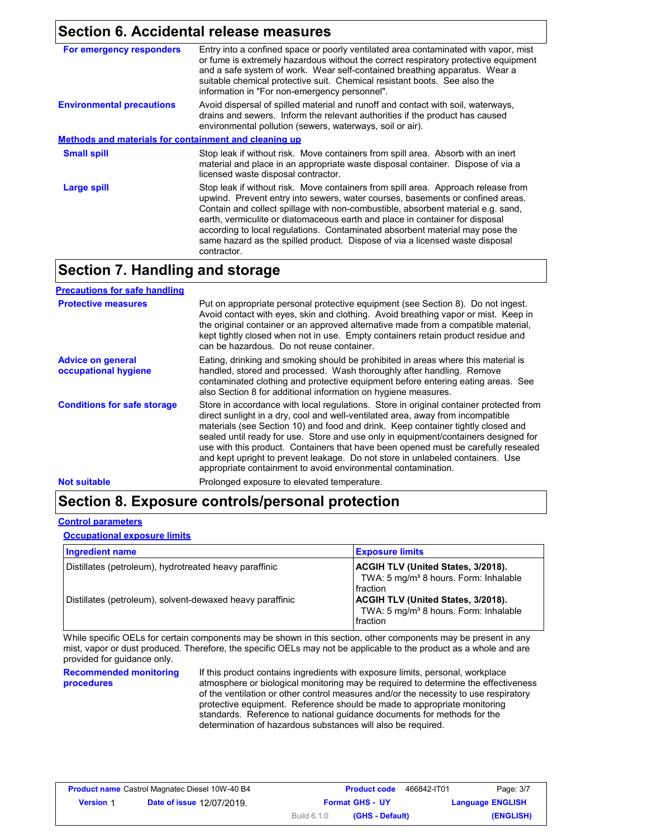### **Section 6. Accidental release measures**

| For emergency responders                                     | Entry into a confined space or poorly ventilated area contaminated with vapor, mist<br>or fume is extremely hazardous without the correct respiratory protective equipment<br>and a safe system of work. Wear self-contained breathing apparatus. Wear a<br>suitable chemical protective suit. Chemical resistant boots. See also the<br>information in "For non-emergency personnel".                                                                                                                                 |
|--------------------------------------------------------------|------------------------------------------------------------------------------------------------------------------------------------------------------------------------------------------------------------------------------------------------------------------------------------------------------------------------------------------------------------------------------------------------------------------------------------------------------------------------------------------------------------------------|
| <b>Environmental precautions</b>                             | Avoid dispersal of spilled material and runoff and contact with soil, waterways,<br>drains and sewers. Inform the relevant authorities if the product has caused<br>environmental pollution (sewers, waterways, soil or air).                                                                                                                                                                                                                                                                                          |
| <b>Methods and materials for containment and cleaning up</b> |                                                                                                                                                                                                                                                                                                                                                                                                                                                                                                                        |
| <b>Small spill</b>                                           | Stop leak if without risk. Move containers from spill area. Absorb with an inert<br>material and place in an appropriate waste disposal container. Dispose of via a<br>licensed waste disposal contractor.                                                                                                                                                                                                                                                                                                             |
| Large spill                                                  | Stop leak if without risk. Move containers from spill area. Approach release from<br>upwind. Prevent entry into sewers, water courses, basements or confined areas.<br>Contain and collect spillage with non-combustible, absorbent material e.g. sand,<br>earth, vermiculite or diatomaceous earth and place in container for disposal<br>according to local regulations. Contaminated absorbent material may pose the<br>same hazard as the spilled product. Dispose of via a licensed waste disposal<br>contractor. |

### **Section 7. Handling and storage**

| <b>Precautions for safe handling</b>             |                                                                                                                                                                                                                                                                                                                                                                                                                                                                                                                                                                                               |
|--------------------------------------------------|-----------------------------------------------------------------------------------------------------------------------------------------------------------------------------------------------------------------------------------------------------------------------------------------------------------------------------------------------------------------------------------------------------------------------------------------------------------------------------------------------------------------------------------------------------------------------------------------------|
| <b>Protective measures</b>                       | Put on appropriate personal protective equipment (see Section 8). Do not ingest.<br>Avoid contact with eyes, skin and clothing. Avoid breathing vapor or mist. Keep in<br>the original container or an approved alternative made from a compatible material,<br>kept tightly closed when not in use. Empty containers retain product residue and<br>can be hazardous. Do not reuse container.                                                                                                                                                                                                 |
| <b>Advice on general</b><br>occupational hygiene | Eating, drinking and smoking should be prohibited in areas where this material is<br>handled, stored and processed. Wash thoroughly after handling. Remove<br>contaminated clothing and protective equipment before entering eating areas. See<br>also Section 8 for additional information on hygiene measures.                                                                                                                                                                                                                                                                              |
| <b>Conditions for safe storage</b>               | Store in accordance with local regulations. Store in original container protected from<br>direct sunlight in a dry, cool and well-ventilated area, away from incompatible<br>materials (see Section 10) and food and drink. Keep container tightly closed and<br>sealed until ready for use. Store and use only in equipment/containers designed for<br>use with this product. Containers that have been opened must be carefully resealed<br>and kept upright to prevent leakage. Do not store in unlabeled containers. Use<br>appropriate containment to avoid environmental contamination. |
| <b>Not suitable</b>                              | Prolonged exposure to elevated temperature.                                                                                                                                                                                                                                                                                                                                                                                                                                                                                                                                                   |

### **Section 8. Exposure controls/personal protection**

#### **Control parameters**

**Occupational exposure limits**

| Ingredient name                                           | <b>Exposure limits</b>                                                                                     |
|-----------------------------------------------------------|------------------------------------------------------------------------------------------------------------|
| Distillates (petroleum), hydrotreated heavy paraffinic    | <b>ACGIH TLV (United States, 3/2018).</b><br>TWA: 5 mg/m <sup>3</sup> 8 hours. Form: Inhalable<br>fraction |
| Distillates (petroleum), solvent-dewaxed heavy paraffinic | <b>ACGIH TLV (United States, 3/2018).</b><br>TWA: 5 mg/m <sup>3</sup> 8 hours. Form: Inhalable<br>fraction |

While specific OELs for certain components may be shown in this section, other components may be present in any mist, vapor or dust produced. Therefore, the specific OELs may not be applicable to the product as a whole and are provided for guidance only.

**Recommended monitoring procedures** If this product contains ingredients with exposure limits, personal, workplace atmosphere or biological monitoring may be required to determine the effectiveness of the ventilation or other control measures and/or the necessity to use respiratory protective equipment. Reference should be made to appropriate monitoring standards. Reference to national guidance documents for methods for the determination of hazardous substances will also be required.

| <b>Product name</b> Castrol Magnatec Diesel 10W-40 B4 |                                  |             | <b>Product code</b>    | 466842-IT01 | Page: 3/7               |
|-------------------------------------------------------|----------------------------------|-------------|------------------------|-------------|-------------------------|
| <b>Version 1</b>                                      | <b>Date of issue 12/07/2019.</b> |             | <b>Format GHS - UY</b> |             | <b>Language ENGLISH</b> |
|                                                       |                                  | Build 6.1.0 | (GHS - Default)        |             | (ENGLISH)               |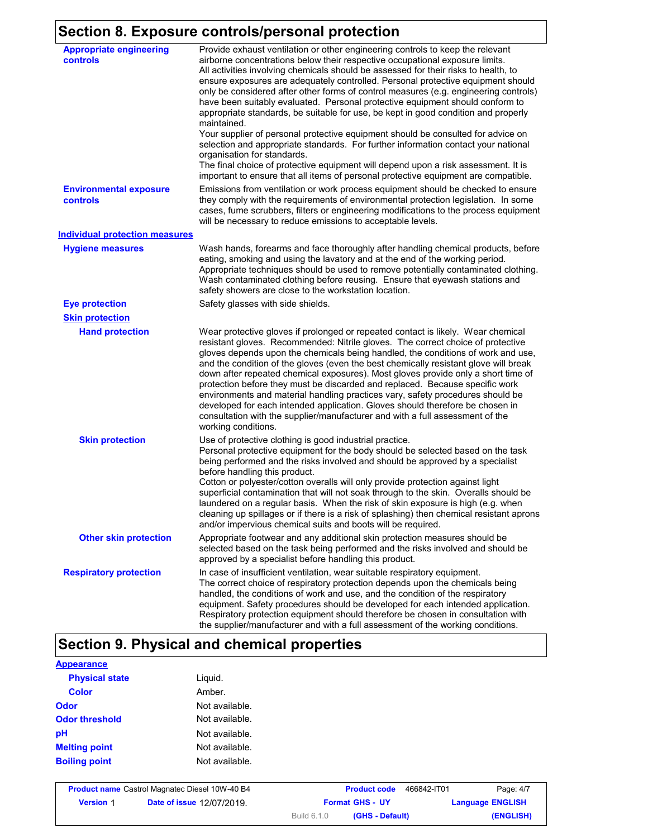## **Section 8. Exposure controls/personal protection**

| <b>Appropriate engineering</b><br>controls | Provide exhaust ventilation or other engineering controls to keep the relevant<br>airborne concentrations below their respective occupational exposure limits.<br>All activities involving chemicals should be assessed for their risks to health, to<br>ensure exposures are adequately controlled. Personal protective equipment should<br>only be considered after other forms of control measures (e.g. engineering controls)<br>have been suitably evaluated. Personal protective equipment should conform to<br>appropriate standards, be suitable for use, be kept in good condition and properly<br>maintained.<br>Your supplier of personal protective equipment should be consulted for advice on<br>selection and appropriate standards. For further information contact your national<br>organisation for standards.<br>The final choice of protective equipment will depend upon a risk assessment. It is<br>important to ensure that all items of personal protective equipment are compatible. |
|--------------------------------------------|---------------------------------------------------------------------------------------------------------------------------------------------------------------------------------------------------------------------------------------------------------------------------------------------------------------------------------------------------------------------------------------------------------------------------------------------------------------------------------------------------------------------------------------------------------------------------------------------------------------------------------------------------------------------------------------------------------------------------------------------------------------------------------------------------------------------------------------------------------------------------------------------------------------------------------------------------------------------------------------------------------------|
| <b>Environmental exposure</b><br>controls  | Emissions from ventilation or work process equipment should be checked to ensure<br>they comply with the requirements of environmental protection legislation. In some<br>cases, fume scrubbers, filters or engineering modifications to the process equipment<br>will be necessary to reduce emissions to acceptable levels.                                                                                                                                                                                                                                                                                                                                                                                                                                                                                                                                                                                                                                                                                 |
| <b>Individual protection measures</b>      |                                                                                                                                                                                                                                                                                                                                                                                                                                                                                                                                                                                                                                                                                                                                                                                                                                                                                                                                                                                                               |
| <b>Hygiene measures</b>                    | Wash hands, forearms and face thoroughly after handling chemical products, before<br>eating, smoking and using the lavatory and at the end of the working period.<br>Appropriate techniques should be used to remove potentially contaminated clothing.<br>Wash contaminated clothing before reusing. Ensure that eyewash stations and<br>safety showers are close to the workstation location.                                                                                                                                                                                                                                                                                                                                                                                                                                                                                                                                                                                                               |
| <b>Eye protection</b>                      | Safety glasses with side shields.                                                                                                                                                                                                                                                                                                                                                                                                                                                                                                                                                                                                                                                                                                                                                                                                                                                                                                                                                                             |
| <b>Skin protection</b>                     |                                                                                                                                                                                                                                                                                                                                                                                                                                                                                                                                                                                                                                                                                                                                                                                                                                                                                                                                                                                                               |
| <b>Hand protection</b>                     | Wear protective gloves if prolonged or repeated contact is likely. Wear chemical<br>resistant gloves. Recommended: Nitrile gloves. The correct choice of protective<br>gloves depends upon the chemicals being handled, the conditions of work and use,<br>and the condition of the gloves (even the best chemically resistant glove will break<br>down after repeated chemical exposures). Most gloves provide only a short time of<br>protection before they must be discarded and replaced. Because specific work<br>environments and material handling practices vary, safety procedures should be<br>developed for each intended application. Gloves should therefore be chosen in<br>consultation with the supplier/manufacturer and with a full assessment of the<br>working conditions.                                                                                                                                                                                                               |
| <b>Skin protection</b>                     | Use of protective clothing is good industrial practice.<br>Personal protective equipment for the body should be selected based on the task<br>being performed and the risks involved and should be approved by a specialist<br>before handling this product.<br>Cotton or polyester/cotton overalls will only provide protection against light<br>superficial contamination that will not soak through to the skin. Overalls should be<br>laundered on a regular basis. When the risk of skin exposure is high (e.g. when<br>cleaning up spillages or if there is a risk of splashing) then chemical resistant aprons<br>and/or impervious chemical suits and boots will be required.                                                                                                                                                                                                                                                                                                                         |
| <b>Other skin protection</b>               | Appropriate footwear and any additional skin protection measures should be<br>selected based on the task being performed and the risks involved and should be<br>approved by a specialist before handling this product.                                                                                                                                                                                                                                                                                                                                                                                                                                                                                                                                                                                                                                                                                                                                                                                       |
| <b>Respiratory protection</b>              | In case of insufficient ventilation, wear suitable respiratory equipment.<br>The correct choice of respiratory protection depends upon the chemicals being<br>handled, the conditions of work and use, and the condition of the respiratory<br>equipment. Safety procedures should be developed for each intended application.<br>Respiratory protection equipment should therefore be chosen in consultation with<br>the supplier/manufacturer and with a full assessment of the working conditions.                                                                                                                                                                                                                                                                                                                                                                                                                                                                                                         |

# **Section 9. Physical and chemical properties**

| <b>Appearance</b>     |                |  |
|-----------------------|----------------|--|
| <b>Physical state</b> | Liguid.        |  |
| <b>Color</b>          | Amber.         |  |
| Odor                  | Not available. |  |
| <b>Odor threshold</b> | Not available. |  |
| pH                    | Not available. |  |
| <b>Melting point</b>  | Not available. |  |
| <b>Boiling point</b>  | Not available. |  |
|                       |                |  |

|                  | <b>Product name</b> Castrol Magnatec Diesel 10W-40 B4 | <b>Product code</b>            | 466842-IT01<br>Page: 4/7 |
|------------------|-------------------------------------------------------|--------------------------------|--------------------------|
| <b>Version 1</b> | <b>Date of issue 12/07/2019.</b>                      | <b>Format GHS - UY</b>         | <b>Language ENGLISH</b>  |
|                  |                                                       | (GHS - Default)<br>Build 6.1.0 | (ENGLISH)                |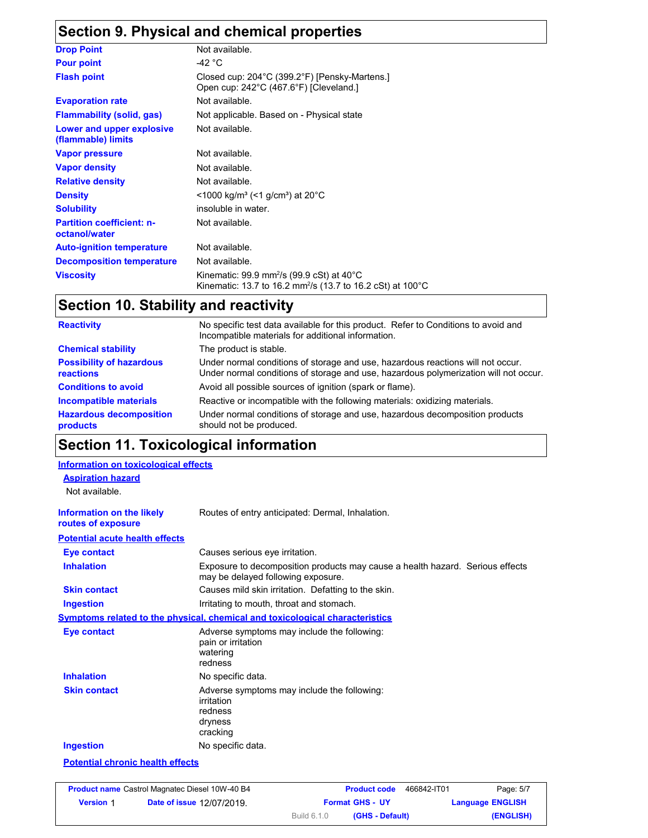## **Section 9. Physical and chemical properties**

| <b>Drop Point</b>                                 | Not available.                                                                                                                             |
|---------------------------------------------------|--------------------------------------------------------------------------------------------------------------------------------------------|
| <b>Pour point</b>                                 | -42 $^{\circ}$ C                                                                                                                           |
| <b>Flash point</b>                                | Closed cup: 204°C (399.2°F) [Pensky-Martens.]<br>Open cup: 242°C (467.6°F) [Cleveland.]                                                    |
| <b>Evaporation rate</b>                           | Not available.                                                                                                                             |
| <b>Flammability (solid, gas)</b>                  | Not applicable. Based on - Physical state                                                                                                  |
| Lower and upper explosive<br>(flammable) limits   | Not available.                                                                                                                             |
| <b>Vapor pressure</b>                             | Not available.                                                                                                                             |
| <b>Vapor density</b>                              | Not available.                                                                                                                             |
| <b>Relative density</b>                           | Not available.                                                                                                                             |
| <b>Density</b>                                    | $<$ 1000 kg/m <sup>3</sup> (<1 g/cm <sup>3</sup> ) at 20 <sup>°</sup> C                                                                    |
| <b>Solubility</b>                                 | insoluble in water.                                                                                                                        |
| <b>Partition coefficient: n-</b><br>octanol/water | Not available.                                                                                                                             |
| <b>Auto-ignition temperature</b>                  | Not available.                                                                                                                             |
| <b>Decomposition temperature</b>                  | Not available.                                                                                                                             |
| <b>Viscosity</b>                                  | Kinematic: 99.9 mm <sup>2</sup> /s (99.9 cSt) at 40 $^{\circ}$ C<br>Kinematic: 13.7 to 16.2 mm <sup>2</sup> /s (13.7 to 16.2 cSt) at 100°C |

# **Section 10. Stability and reactivity**

| <b>Reactivity</b>                                   | No specific test data available for this product. Refer to Conditions to avoid and<br>Incompatible materials for additional information.                                |  |  |
|-----------------------------------------------------|-------------------------------------------------------------------------------------------------------------------------------------------------------------------------|--|--|
| <b>Chemical stability</b>                           | The product is stable.                                                                                                                                                  |  |  |
| <b>Possibility of hazardous</b><br><b>reactions</b> | Under normal conditions of storage and use, hazardous reactions will not occur.<br>Under normal conditions of storage and use, hazardous polymerization will not occur. |  |  |
| <b>Conditions to avoid</b>                          | Avoid all possible sources of ignition (spark or flame).                                                                                                                |  |  |
| Incompatible materials                              | Reactive or incompatible with the following materials: oxidizing materials.                                                                                             |  |  |
| <b>Hazardous decomposition</b><br>products          | Under normal conditions of storage and use, hazardous decomposition products<br>should not be produced.                                                                 |  |  |

## **Section 11. Toxicological information**

| <b>Information on toxicological effects</b>            |                                                                                                                     |
|--------------------------------------------------------|---------------------------------------------------------------------------------------------------------------------|
| <b>Aspiration hazard</b><br>Not available.             |                                                                                                                     |
| <b>Information on the likely</b><br>routes of exposure | Routes of entry anticipated: Dermal, Inhalation.                                                                    |
| <b>Potential acute health effects</b>                  |                                                                                                                     |
| <b>Eye contact</b>                                     | Causes serious eye irritation.                                                                                      |
| <b>Inhalation</b>                                      | Exposure to decomposition products may cause a health hazard. Serious effects<br>may be delayed following exposure. |
| <b>Skin contact</b>                                    | Causes mild skin irritation. Defatting to the skin.                                                                 |
| <b>Ingestion</b>                                       | Irritating to mouth, throat and stomach.                                                                            |
|                                                        | Symptoms related to the physical, chemical and toxicological characteristics                                        |
| Eye contact                                            | Adverse symptoms may include the following:<br>pain or irritation<br>watering<br>redness                            |
| <b>Inhalation</b>                                      | No specific data.                                                                                                   |
| <b>Skin contact</b>                                    | Adverse symptoms may include the following:<br>irritation<br>redness<br>dryness<br>cracking                         |
| <b>Ingestion</b>                                       | No specific data.                                                                                                   |
| <b>Potential chronic health effects</b>                |                                                                                                                     |

|                  | <b>Product name</b> Castrol Magnatec Diesel 10W-40 B4 | <b>Product code</b>            | 466842-IT01<br>Page: 5/7 |
|------------------|-------------------------------------------------------|--------------------------------|--------------------------|
| <b>Version 1</b> | <b>Date of issue 12/07/2019.</b>                      | <b>Format GHS - UY</b>         | <b>Language ENGLISH</b>  |
|                  |                                                       | Build 6.1.0<br>(GHS - Default) | (ENGLISH)                |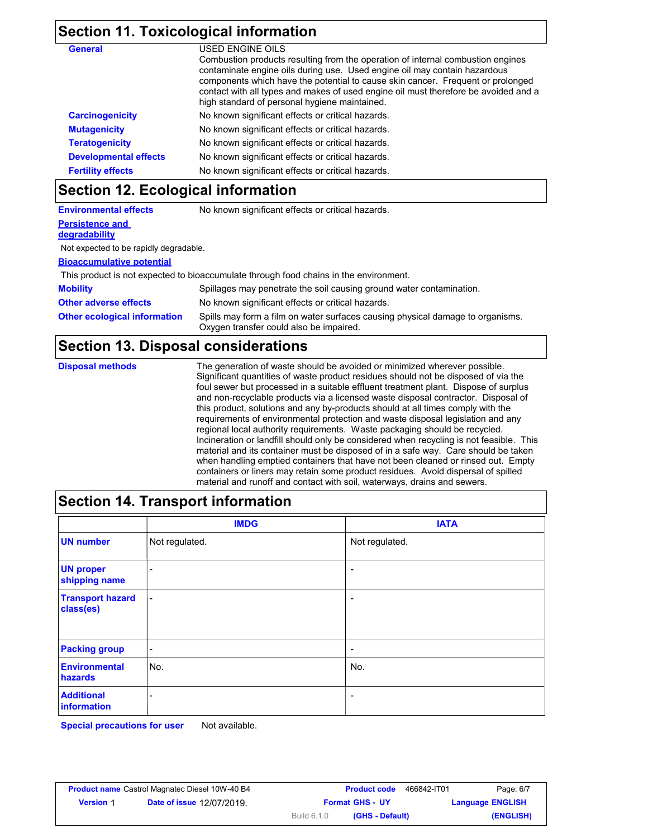### **Section 11. Toxicological information**

| <b>General</b>               | USED ENGINE OILS                                                                                                                                                                                                                                                                                                                                                                        |
|------------------------------|-----------------------------------------------------------------------------------------------------------------------------------------------------------------------------------------------------------------------------------------------------------------------------------------------------------------------------------------------------------------------------------------|
|                              | Combustion products resulting from the operation of internal combustion engines<br>contaminate engine oils during use. Used engine oil may contain hazardous<br>components which have the potential to cause skin cancer. Frequent or prolonged<br>contact with all types and makes of used engine oil must therefore be avoided and a<br>high standard of personal hygiene maintained. |
| <b>Carcinogenicity</b>       | No known significant effects or critical hazards.                                                                                                                                                                                                                                                                                                                                       |
| <b>Mutagenicity</b>          | No known significant effects or critical hazards.                                                                                                                                                                                                                                                                                                                                       |
| <b>Teratogenicity</b>        | No known significant effects or critical hazards.                                                                                                                                                                                                                                                                                                                                       |
| <b>Developmental effects</b> | No known significant effects or critical hazards.                                                                                                                                                                                                                                                                                                                                       |
| <b>Fertility effects</b>     | No known significant effects or critical hazards.                                                                                                                                                                                                                                                                                                                                       |
|                              |                                                                                                                                                                                                                                                                                                                                                                                         |

### **Section 12. Ecological information**

| <b>Environmental effects</b>                                                          | No known significant effects or critical hazards.                                                                         |  |
|---------------------------------------------------------------------------------------|---------------------------------------------------------------------------------------------------------------------------|--|
| <b>Persistence and</b>                                                                |                                                                                                                           |  |
| degradability                                                                         |                                                                                                                           |  |
| Not expected to be rapidly degradable.                                                |                                                                                                                           |  |
| <b>Bioaccumulative potential</b>                                                      |                                                                                                                           |  |
| This product is not expected to bioaccumulate through food chains in the environment. |                                                                                                                           |  |
| <b>Mobility</b>                                                                       | Spillages may penetrate the soil causing ground water contamination.                                                      |  |
| <b>Other adverse effects</b>                                                          | No known significant effects or critical hazards.                                                                         |  |
| <b>Other ecological information</b>                                                   | Spills may form a film on water surfaces causing physical damage to organisms.<br>Oxygen transfer could also be impaired. |  |

### **Section 13. Disposal considerations**

**Disposal methods** The generation of waste should be avoided or minimized wherever possible. Significant quantities of waste product residues should not be disposed of via the foul sewer but processed in a suitable effluent treatment plant. Dispose of surplus and non-recyclable products via a licensed waste disposal contractor. Disposal of this product, solutions and any by-products should at all times comply with the requirements of environmental protection and waste disposal legislation and any regional local authority requirements. Waste packaging should be recycled. Incineration or landfill should only be considered when recycling is not feasible. This material and its container must be disposed of in a safe way. Care should be taken when handling emptied containers that have not been cleaned or rinsed out. Empty containers or liners may retain some product residues. Avoid dispersal of spilled material and runoff and contact with soil, waterways, drains and sewers.

## **Section 14. Transport information**

|                                      | <b>IMDG</b>              | <b>IATA</b>              |
|--------------------------------------|--------------------------|--------------------------|
| <b>UN number</b>                     | Not regulated.           | Not regulated.           |
| <b>UN proper</b><br>shipping name    | -                        | $\overline{\phantom{a}}$ |
| <b>Transport hazard</b><br>class(es) | $\overline{\phantom{a}}$ | $\overline{\phantom{a}}$ |
| <b>Packing group</b>                 | -                        | $\overline{\phantom{a}}$ |
| <b>Environmental</b><br>hazards      | No.                      | No.                      |
| <b>Additional</b><br>information     | -                        | $\overline{\phantom{a}}$ |

**Special precautions for user** Not available.

| <b>Product name</b> Castrol Magnatec Diesel 10W-40 B4 |                                  |                    | <b>Product code</b>    | 466842-IT01 | Page: 6/7               |
|-------------------------------------------------------|----------------------------------|--------------------|------------------------|-------------|-------------------------|
| <b>Version 1</b>                                      | <b>Date of issue 12/07/2019.</b> |                    | <b>Format GHS - UY</b> |             | <b>Language ENGLISH</b> |
|                                                       |                                  | <b>Build 6.1.0</b> | (GHS - Default)        |             | (ENGLISH)               |